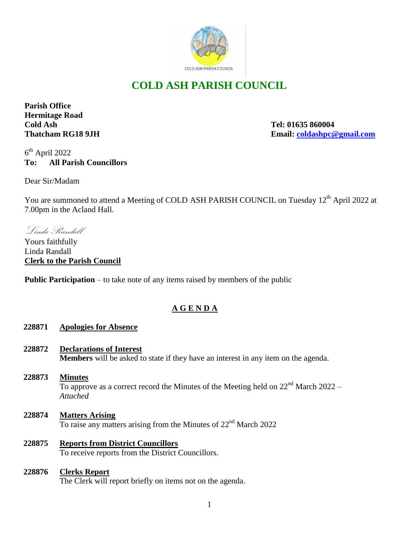

# **COLD ASH PARISH COUNCIL**

**Parish Office Hermitage Road Cold Ash Tel: 01635 860004**

**Thatcham RG18 9JH Email: [coldashpc@gmail.com](mailto:coldashpc@gmail.com)**

6 th April 2022 **To: All Parish Councillors**

Dear Sir/Madam

You are summoned to attend a Meeting of COLD ASH PARISH COUNCIL on Tuesday 12<sup>th</sup> April 2022 at 7.00pm in the Acland Hall.

Linda Randall

Yours faithfully Linda Randall **Clerk to the Parish Council** 

**Public Participation** – to take note of any items raised by members of the public

# **A G E N D A**

# **228871 Apologies for Absence**

- **228872 Declarations of Interest Members** will be asked to state if they have an interest in any item on the agenda.
- **228873 Minutes** To approve as a correct record the Minutes of the Meeting held on  $22<sup>nd</sup>$  March 2022 – *Attached*
- **228874 Matters Arising** To raise any matters arising from the Minutes of 22nd March 2022
- **228875 Reports from District Councillors** To receive reports from the District Councillors.

# **228876 Clerks Report** The Clerk will report briefly on items not on the agenda.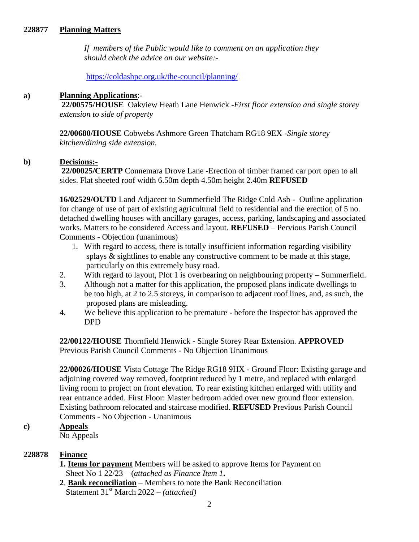#### **228877 Planning Matters**

 *If members of the Public would like to comment on an application they should check the advice on our website:-*

<https://coldashpc.org.uk/the-council/planning/>

#### **a) Planning Applications**:-

**22/00575/HOUSE** Oakview Heath Lane Henwick -*First floor extension and single storey extension to side of property* 

**22/00680/HOUSE** Cobwebs Ashmore Green Thatcham RG18 9EX -*Single storey kitchen/dining side extension.*

### **b) Decisions:-**

**22/00025/CERTP** Connemara Drove Lane -Erection of timber framed car port open to all sides. Flat sheeted roof width 6.50m depth 4.50m height 2.40m **REFUSED**

**16/02529/OUTD** Land Adjacent to Summerfield The Ridge Cold Ash - Outline application for change of use of part of existing agricultural field to residential and the erection of 5 no. detached dwelling houses with ancillary garages, access, parking, landscaping and associated works. Matters to be considered Access and layout. **REFUSED** – Pervious Parish Council Comments - Objection (unanimous)

- 1. With regard to access, there is totally insufficient information regarding visibility splays & sightlines to enable any constructive comment to be made at this stage, particularly on this extremely busy road.
- 2. With regard to layout, Plot 1 is overbearing on neighbouring property Summerfield.
- 3. Although not a matter for this application, the proposed plans indicate dwellings to be too high, at 2 to 2.5 storeys, in comparison to adjacent roof lines, and, as such, the proposed plans are misleading.
- 4. We believe this application to be premature before the Inspector has approved the DPD

**22/00122/HOUSE** Thornfield Henwick - Single Storey Rear Extension. **APPROVED**  Previous Parish Council Comments - No Objection Unanimous

**22/00026/HOUSE** Vista Cottage The Ridge RG18 9HX - Ground Floor: Existing garage and adjoining covered way removed, footprint reduced by 1 metre, and replaced with enlarged living room to project on front elevation. To rear existing kitchen enlarged with utility and rear entrance added. First Floor: Master bedroom added over new ground floor extension. Existing bathroom relocated and staircase modified. **REFUSED** Previous Parish Council Comments - No Objection - Unanimous

## **c) Appeals**

No Appeals

### **228878 Finance**

- **1. Items for payment** Members will be asked to approve Items for Payment on Sheet No 1 22/23 – (*attached as Finance Item 1***.**
- **2**. **Bank reconciliation** Members to note the Bank Reconciliation Statement 31st March 2022 – *(attached)*